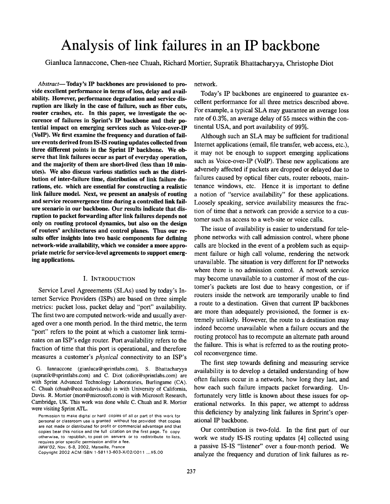# **Analysis of link failures in an IP backbone**

Gianluca Iannaccone, Chen-nee Chuah, Richard Mortier, Supratik Bhattacharyya, Christophe Diot

*Abstract--Today's* **IP backbones are provisioned to provide excellent performance in terms of loss, delay and availability. However, performance degradation and service disruption are likely in the case of failure, such as fiber cuts, router crashes, etc. In this paper, we investigate the occurence of failures in Sprint's IP backbone and their potential impact on emerging services such as Voice-over-IP (VoIP). We first examine the frequency and duration of failure events derived from IS-IS routing updates collected from three different points in the Sprint IP backbone. We observe that link failures occur as part of everyday operation, and the majority of them are short-lived (less than 10 minutes). We also discuss various statistics such as the distribution of inter-failure time, distribution of link failure durations, etc. which are essential for constructing a realistic link failure model. Next, we present an analysis of routing and service reconvergence time during a controlled link failure scenario in our backbone. Our results indicate that disruption to packet forwarding after link failures depends not only on routing protocol dynamics, but also on the design of routers' architectures and control planes. Thus our resuits offer insights into two basic components for defining network-wide availability, which we consider a more appropriate metric for service-level agreements to support emerging applications.** 

#### I. INTRODUCTION

Service Level Agreeements (SLAs) used by today's Internet Service Providers (ISPs) are based on three simple metrics: packet loss, packet delay and "port" availability. The first two are computed network-wide and usually averaged over a one month period. In the third metric, the term "port" refers to the point at which a customer link terminates on an ISP's edge router. Port availability refers to the fraction of time that this port is operational, and therefore measures a customer's *physical* connectivity to an ISP's

G. Iannaccone (gianluca@sprintlabs.com), S. Bhattacharyya (supratik@sprintlabs.com) and C. Diot (cdiot@sprintlabs.com) are with Sprint Advanced Technology Laboratories, Burlingame (CA). C. Chuah (chuah@ece.ucdavis.edu) is with University of California, Davis. R. Mortier (mort@microsoft.com) is with Microsoft Research, Cambridge, UK. This work was done while C. Chuah and R. Mortier were visiting Sprint ATL.

Permission to make digital or hard copies of all or part of this work **for**  personal or classroom **use is** granted without fee provided that copies are not made or distributed for profit or commercial advantage and that copies bear this notice and the full citation on the first page. To copy otherwise, to republish, to post on servers or to redistribute to lists, **requires** prior specific permission and/or a **fee.**  *IMW'02,* Nov. 6-8, 2002, Marseille, France

Copyright 2002 ACM ISBN 1-58113-603-X/02/0011 *...\$5.00* 

network.

Today's IP backbones are engineered to guarantee excellent performance for all three metrics described above. For example, a typical SLA may guarantee an average loss rate of 0.3%, an average delay of 55 msecs within the continental USA, and port availability of 99%.

Although such an SLA may be sufficient for traditional Internet applications (email, file transfer, web access, etc.). it may not be enough to support emerging applications such as Voice-over-IP (VolP). These new applications are adversely affected if packets are dropped or delayed due to failures caused by optical fiber cuts, router reboots, maintenance windows, etc. Hence it is important to define a notion of "service availability" for these applications. Loosely speaking, service availability measures the fraction of time that a network can provide a service to a customer such as access to a web-site or voice calls.

The issue of availability is easier to understand for telephone networks with call admission control, where phone calls are blocked in the event of a problem such as equipment failure or high call volume, rendering the network unavailable. The situation is very different for IP networks where there is no admission control. A network service may become unavailable to a customer if most of the customer's packets are lost due to heavy congestion, or if routers inside the network are temporarily unable to find a route to a destination. Given that current IP backbones are more than adequately provisioned, the former is extremely unlikely. However, the route to a destination may indeed become unavailable when a failure occurs and the routing protocol has to recompute an alternate path around the failure. This is what is referred to as the routing protocol reconvergence time.

The first step towards defining and measuring service availability is to develop a detailed understanding of how often failures occur in a network, how long they last, and how each such failure impacts packet forwarding. Unfortunately very little is known about these issues for operational networks. In this paper, we attempt to address this deficiency by analyzing link failures in Sprint's operational IP backbone.

Our contribution is two-fold. In the first part of our work we study IS-IS routing updates [4] collected using a passive IS-IS "listener" over a four-month period. We analyze the frequency and duration of link failures as re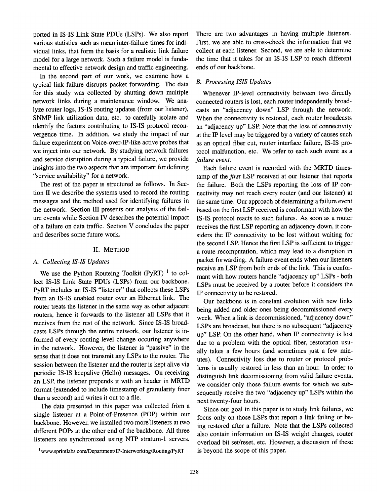ported in IS-IS Link State PDUs (LSPs). We also report various statistics such as mean inter-failure times for individual links, that form the basis for a realistic link failure model for a large network. Such a failure model is fundamental to effective network design and traffic engineering.

In the second part of our work, we examine how a typical link failure disrupts packet forwarding. The data for this study was collected by shutting down multiple network links during a maintenance window. We analyze router logs, IS-IS routing updates (from our listener), SNMP link utilization data, etc. to carefully isolate and identify the factors contributing to IS-IS protocol reconvergence time. In addition, we study the impact of our failure experiment on Voice-over-IP-like active probes that we inject into our network. By studying network failures and service disruption during a typical failure, we provide insights into the two aspects that are important for defining "service availability" for a network.

The rest of the paper is structured as follows. In Section II we describe the systems used to record the routing messages and the method used for identifying failures in the network. Section III presents our analysis of the failure ewents while Section IV describes the Potential impact of a failure on data traffic. Section V concludes the paper and describes some future work.

## II. METHOD

## *A. Collecting IS-IS Updates*

We use the Python Routeing Toolkit (PyRT)  $<sup>1</sup>$  to col-</sup> lect IS-IS Link State PDUs (LSPs) from our backbone. PyRT includes an IS-IS "listener" that collects these LSPs from an IS-IS enabled router over an Ethernet link. The router treats the listener in the same way as other adjacent routers, hence it forwards to the listener all LSPs that it receives from the rest of the network. Since IS-IS broadcasts LSPs through the entire network, our listener is informed of every routing-level change occuring anywhere in the network. However, the listener is "passive" in the sense that it does not transmit any LSPs to the router. The session between the listener and the router is kept alive via periodic IS-IS keepalive (Hello) messages. On receiving an LSP, the listener prepends it with an header in MRTD format (extended to include timestamp of granularity finer than a second) and writes it out to a file.

The data presented in this paper was collected from a single listener at a Point-of-Presence (POP) within our backbone. However, we installed two more'listeners at two different POPs at the other end of the backbone. All three listeners are synchronized using NTP stratum-1 servers. There are two advantages in having multiple listeners. First, we are able to cross-check the information that we collect at each listener. Second, we are able to determine the time that it takes for an IS-IS LSP to reach different ends of our backbone.

#### *B. Processing ISIS Updates*

Whenever IP-level connectivity between two directly connected routers is lost, each router independently broadcasts an "adjacency down" LSP through the network. When the connectivity is restored, each router broadcasts an "adjacency up" LSP. Note that the loss of connectivity at the IP level may be triggered by a variety of causes such as an optical fiber cut, router interface failure, IS-IS protocol malfunction, etc. We refer to each such event as a *failure event.* 

Each failure event is recorded with the MRTD timestamp of the *first* LSP received at our listener that reports the failure. Both the LSPs reporting the loss of IP connectivity may not reach every router (and our listener) at the same time. Our approach of determining a failure event based on the first LSP received is conformant with how the IS-IS protocol reacts to such failures. As soon as a router receives the first LSP reporting an adjacency down, it considers the IP connectivity to be lost without waiting for the second LSP. Hence the first LSP is sufficient to trigger a route recomputation, which may lead to a disruption in packet forwarding. A failure event ends when our listeners receive an LSP from both ends of the link. This is conformant with how routers handle "adjacency up" LSPs - both LSPs must be received by a router before it considers the IP connectivity to be restored.

Our backbone is in constant evolution with new links being added and older ones being decommissioned every week. When a link is decommissioned, "adjacency down" LSPs are broadcast, but there is no subsequent "adjacency up" LSP. On the other hand, when IP connectivity is lost due to a problem with the optical fiber, restoration usually takes a few hours (and sometimes just a few minutes). Connectivity loss due to router or protocol problems is usually restored in less than an hour. In order to distinguish link decomissioning from valid failure events, we consider only those failure events for which we subsequently receive the two "adjacency up" LSPs within the next twenty-four hours.

Since our goal in this paper is to study link failures, we focus only on those LSPs that report a link failing or being restored after a failure. Note that the LSPs collected also contain information on IS-IS weight changes, router overload bit set/reset, etc. However, a discussion of these is beyond the scope of this paper.

<sup>1</sup>www.sprintlabs.com/Department/IP-Interworking/Routing/PyRT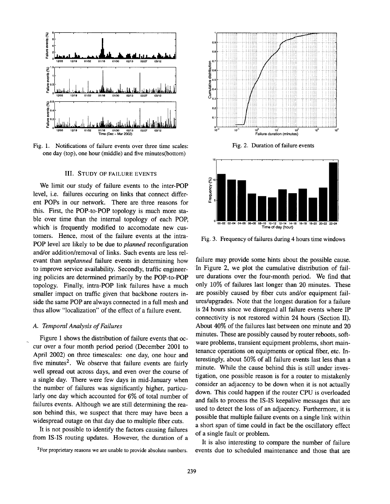

Fig. 1. Notifications of failure events over three time scales: one day (top), one hour (middle) and five minutes(bottom)

## III. STUDY OF FAILURE EVENTS

We limit our study of failure events to the inter-POP level, i.e. failures occuring on links that connect different POPs in our network. There are three reasons for this. First, the POP-to-POP topology is much more stable over time than the intemal topology of each POP, which is frequently modified to accomodate new customers. Hence, most of the failure events at the intra-POP level are likely to be due to *planned* reconfiguration and/or addition/removal of links. Such events are less relevant than *unplanned* failure events in determining how to improve service availability. Secondly, traffic engineering policies are determined primarily by the POP-to-POP topology. Finally, intra-POP link failures have a much smaller impact on traffic given that backbone routers inside the same POP are always connected in a full mesh and thus allow "localization" of the effect of a failure event.

## *A. Temporal Analysis of Failures*

Figure 1 shows the distribution of failure events that occur over a four month period period (December 2001 to April 2002) on three timescales: one day, one hour and five minutes<sup>2</sup>. We observe that failure events are fairly well spread out across days, and even over the course of a single day. There were few days in mid-January when the number of failures was significantly higher, particularly one day which accounted for 6% of total number of failures events. Although we are still determining the reason behind this, we suspect that there may have been a widespread outage on that day due to multiple fiber cuts.

It is not possible to identify the factors causing failures from IS-IS routing updates. However, the duration of a



Fig. 2. Duration of failure events



Fig. 3. Frequency of failures during 4 hours time windows

failure may provide some hints about the possible cause. In Figure 2, we plot the cumulative distribution of failure durations over the four-month period. We find that only 10% of failures last longer than 20 minutes. These are possibly caused by fiber cuts and/or equipment failures/upgrades. Note that the longest duration for a failure is 24 hours since we disregard all failure events where IP connectivity is not restored within 24 hours (Section II). About 40% of the failures last between one minute and 20 minutes. These are possibly caused by router reboots, software problems, transient equipment problems, short maintenance operations on equipments or optical fiber, etc. Interestingly, about 50% of all failure events last less than a minute. While the cause behind this is still under investigation, one possible reason is for a router to mistakenly consider an adjacency to be down when it is not actually down. This could happen if the router CPU is overloaded and fails to process the IS-IS keepalive messages that are used to detect the loss of an adjacency. Furthermore, it is possible that multiple failure events on a single link within a short span of time could in fact be the oscillatory effect of a single fault or problem.

It is also interesting to compare the number of failure events due to scheduled maintenance and those that are

<sup>&</sup>lt;sup>2</sup>For proprietary reasons we are unable to provide absolute numbers.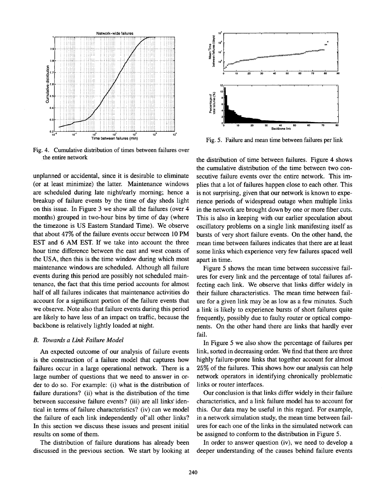

Fig. 4. Cumulative distribution of times between failures over the entire network

unplanned or accidental, since it is desirable to eliminate (or at least minimize) the latter. Maintenance windows are scheduled during late night/early morning; hence a breakup of failure events by the time of day sheds light on this issue. In Figure 3 we show all the failures (over 4 months) grouped in two-hour bins by time of day (where the tirnezone is US Eastern Standard Time). We observe that about 47% of the failure events occur between 10 PM EST and 6 AM EST. If we take into account the three hour time difference between the east and west coasts of the USA, then this is the time window during which most maintenance windows are scheduled. Although all failure events during this period are possibly not scheduled maintenance, the fact that this time period accounts for almost half of all failures indicates that maintenance activities do account for a significant portion of the failure events that we observe. Note also that failure events during this period are likely to have less of an impact on traffic, because the backbone is relatively lightly loaded at night.

#### *B. Towards a Link Failure Model*

An expected outcome of our analysis of failure events is the construction of a failure model that captures how failures occur in a large operational network. There is a large number of questions that we need to answer in order to do so. For example: (i) what is the distribution of failure durations? (ii) what is the distribution of the time between successive failure events? (iii) are all links identical in terms of failure characteristics? (iv) can we model the failure of each link independently of all other links? In this section we discuss these issues and present initial results on some of them.

The distribution of failure durations has already been discussed in the previous section. We start by looking at



Fig. 5. Failure and mean time between failures per link

the distribution of time between failures. Figure 4 shows the cumulative distribution of the time between two consecutive failure events over the entire network. This implies that a lot of failures happen close to each other. This is not surprising, given that our network is known to experience periods of widespread outage when multiple links in the network are brought down by one or more fiber cuts. This is also in keeping with our earlier speculation about oscillatory problems on a single link manifesting itself as bursts of very short failure events. On the other hand, the mean time between failures indicates that there are at least some links which experience very few failures spaced well apart in time.

Figure 5 shows the mean time between successive failures for every link and the percentage of total failures affecting each link. We observe that links differ widely in their failure characteristics. The mean time between failure for a given link may be as low as a few minutes. Such a link is likely to experience bursts of short failures quite frequently, possibly due to faulty router or optical components. On the other hand there are links that hardly ever fail.

In Figure 5 we also show the percentage of failures per link, sorted in decreasing order. We find that there are three highly failure-prone links that together account for almost 25% of the failures. This shows how our analysis can help network operators in identifying chronically problematic links or router interfaces.

Our conclusion is that links differ widely in their failure characteristics, and a link failure model has to account for this. Our data may be useful in this regard. For example, in a network simulation study, the mean time between failures for each one of the links in the simulated network can be assigned to conform to the distribution in Figure 5.

In order to answer question (iv), we need to develop a deeper understanding of the causes behind failure events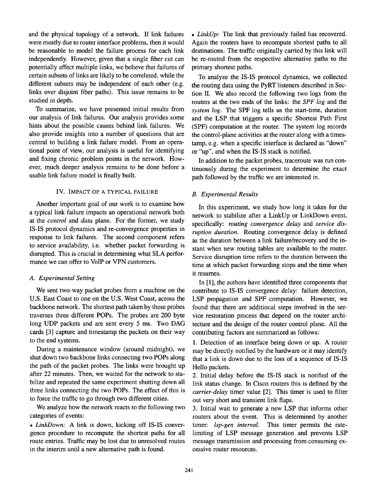and the physical topology of a network. If link failures were mostly due to router interface problems, then it would be reasonable to model the failure process for each link independently. However, given that a single fiber cut can potentially affect multiple links, we believe that failures of certain subsets of links are likely to be correlated, while the different subsets may be independent of each other (e.g. links over disjoint fiber paths). This issue remains to be studied in depth.

To summarize, we have presented initial results from our analysis of link failures. Our analysis provides some hints about the possible causes behind link failures. We also provide insights into a number of questions that are central to building a link failure model. From an operational point of view, our analysis is useful for identifying and fixing chronic problem points in the network. However, much deeper analysis remains to be done before a usable link failure model is finally built.

#### IV. IMPACT OF A TYPICAL FAILURE

Another important goal of our work is to examine how a typical link failure impacts an operational network both at the *control* and *data* plane. For the former, we study IS-IS protocol dynamics and re-convergence properties in response to link failures. The second component refers to service availability, i.e. whether packet forwarding is disrupted. This is crucial in determining what SLA performance we can offer to VolP or VPN customers.

### *A. Experimental Setting*

We sent two-way packet probes from a machine on the U.S. East Coast to one on the U.S. West Coast, across the backbone network. The shortest path taken by these probes traverses three different POPs. The probes are 200 byte long UDP packets and are sent every 5 ms. Two DAG cards [3] capture and timestamp the packets on their way to the end systems.

During a maintenance window (around midnight), we shut down two backbone links connecting two POPs along the path of the packet probes. The links were brought up after 22 minutes. Then, we waited for the network to stabilize and repeated the same experiment shutting down all three links connecting the two POPs. The effect of this is to force the traffic to go through two different cities.

We analyze how the network reacts to the following two categories of events:

*• LinkDown:* A link is down, kicking off IS-IS convergence procedure to recompute the shortest paths for all route entries. Traffic may be lost due to unresolved routes in the interim until a new alternative path is found.

*• LinkUp:* The link that previously failed has recovered. Again the routers have to recompute shortest paths to all destinations. The traffic originally carried by this link will be re-routed from the respective alternative paths to the primary shortest paths.

To analyze the IS-IS protocol dynamics, we collected the routing data using the PyRT listeners described in Section II. We also record the following two logs from the routers at the two ends of the links: the *SPF log* and the *system log.* The SPF log tells us the start-time, duration and the LSP that triggers a specific Shortest Path First (SPF) computation at the router. The system log records the control-plane activities at the router along with a timestamp, e.g. when a specific interface is declared as "down" or "up", and when the IS-IS stack is notified.

In addition to the packet probes, traceroute was run continuously during the experiment to determine the exact path followed by the traffic we are interested in.

#### *B. Experimental Results*

In this experiment, we study how long it takes for the network to stabilize after a LinkUp or LinkDown event, specifically: *routing convergence delay* and *service disruption duration.* Routing convergence delay is defined as the duration between a link failure/recovery and the instant when new routing tables are available to the router. Service disruption time refers to the duration between the time at which packet forwarding stops and the time when it resumes.

In [1], the authors have identified three components that contribute to IS-IS convergence delay: failure detection, LSP propagation and SPF computation. However, we found that there are additional steps involved in the service restoration process that depend on the router architecture and the design of the router control plane. All the contributing factors are summarized as follows:

1. Detection of an interface being down or up. A router may be directly notified by the hardware or it may identify that a link is down due to the loss of a sequence of IS-IS Hello packets.

2. Initial delay before the IS-IS stack is notified of the link status change. In Cisco routers this is defined by the *carrier-delay* timer value [2]. This timer is used to filter out very short and transient link flaps.

3. Initial wait to generate a new LSP that informs other routers about the event. This is determined by another timer: *lsp-gen interval.* This timer permits the ratelimiting of LSP message generation and prevents LSP message transmission and processing from consuming excessive router resources.